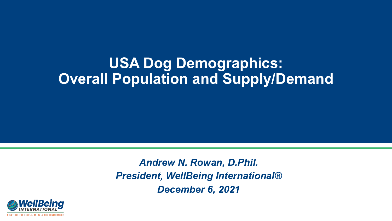## **USA Dog Demographics: Overall Population and Supply/Demand**

*Andrew N. Rowan, D.Phil. President, WellBeing International® December 6, 2021*

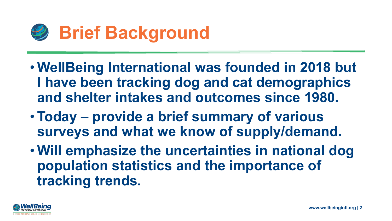

- **WellBeing International was founded in 2018 but I have been tracking dog and cat demographics and shelter intakes and outcomes since 1980.**
- **Today – provide a brief summary of various surveys and what we know of supply/demand.**
- **Will emphasize the uncertainties in national dog population statistics and the importance of tracking trends.**

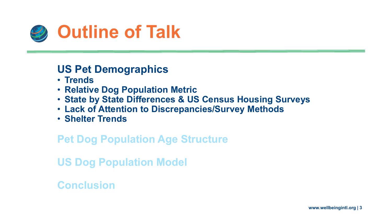

- **Trends**
- **Relative Dog Population Metric**
- **State by State Differences & US Census Housing Surveys**
- **Lack of Attention to Discrepancies/Survey Methods**
- **Shelter Trends**

#### **Pet Dog Population Age Structure**

**US Dog Population Model**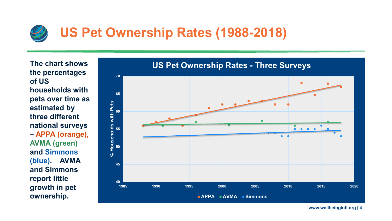

**The chart shows the percentages of US households with pets over time as estimated by three different national surveys – APPA (orange), AVMA (green) and Simmons (blue). AVMA and Simmons report little growth in pet ownership.** 

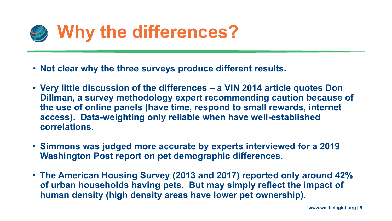

- **Not clear why the three surveys produce different results.**
- **Very little discussion of the differences – a VIN 2014 article quotes Don Dillman, a survey methodology expert recommending caution because of the use of online panels (have time, respond to small rewards, internet access). Data-weighting only reliable when have well-established correlations.**
- **Simmons was judged more accurate by experts interviewed for a 2019 Washington Post report on pet demographic differences.**
- **The American Housing Survey (2013 and 2017) reported only around 42% of urban households having pets. But may simply reflect the impact of human density (high density areas have lower pet ownership).**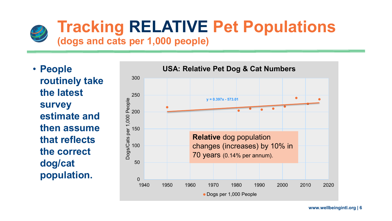

# **Tracking RELATIVE Pet Populations**

## **(dogs and cats per 1,000 people)**

• **People routinely take the latest survey estimate and then assume that reflects the correct dog/cat population.** 

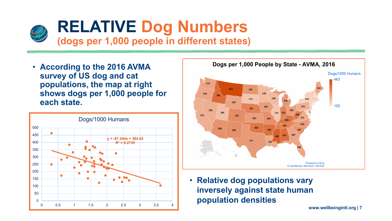

• **According to the 2016 AVMA survey of US dog and cat populations, the map at right shows dogs per 1,000 people for each state.**





• **Relative dog populations vary inversely against state human population densities**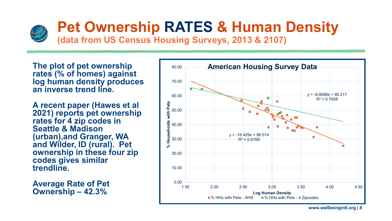

## **Pet Ownership RATES & Human Density**

**(data from US Census Housing Surveys, 2013 & 2107)**

**The plot of pet ownership rates (% of homes) against log human density produces an inverse trend line.** 

**A recent paper (Hawes et al 2021) reports pet ownership rates for 4 zip codes in Seattle & Madison (urban),and Granger, WA and Wilder, ID (rural). Pet ownership in these four zip codes gives similar trendline.** 

**Average Rate of Pet Ownership – 42.3%**

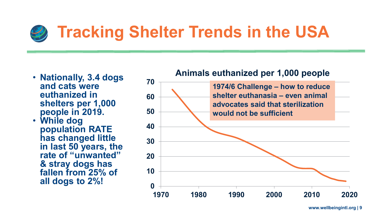# **Tracking Shelter Trends in the USA**

• **Nationally, 3.4 dogs and cats were euthanized in shelters per 1,000 people in 2019.** 

• **While dog population RATE has changed little in last 50 years, the rate of "unwanted" & stray dogs has fallen from 25% of all dogs to 2%!**

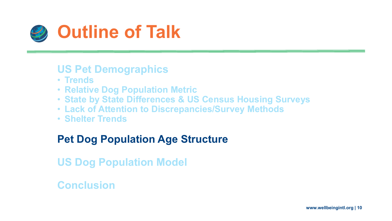

- **Trends**
- **Relative Dog Population Metric**
- **State by State Differences & US Census Housing Surveys**
- **Lack of Attention to Discrepancies/Survey Methods**
- **Shelter Trends**

## **Pet Dog Population Age Structure**

**US Dog Population Model**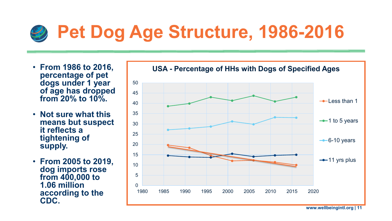# **Pet Dog Age Structure, 1986-2016**

- **From 1986 to 2016, percentage of pet dogs under 1 year of age has dropped from 20% to 10%.**
- **Not sure what this means but suspect it reflects a tightening of supply.**
- **From 2005 to 2019, dog imports rose from 400,000 to 1.06 million according to the CDC.**

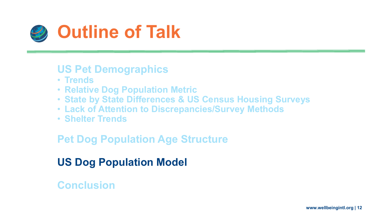

- **Trends**
- **Relative Dog Population Metric**
- **State by State Differences & US Census Housing Surveys**
- **Lack of Attention to Discrepancies/Survey Methods**
- **Shelter Trends**

## **Pet Dog Population Age Structure**

## **US Dog Population Model**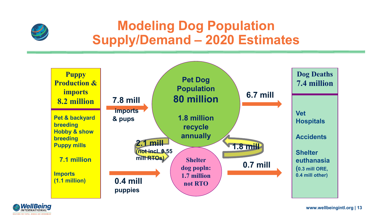

## **Modeling Dog Population Supply/Demand – 2020 Estimates**



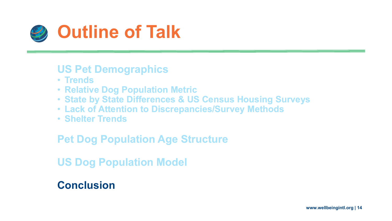

- **Trends**
- **Relative Dog Population Metric**
- **State by State Differences & US Census Housing Surveys**
- **Lack of Attention to Discrepancies/Survey Methods**
- **Shelter Trends**

## **Pet Dog Population Age Structure**

**US Dog Population Model**